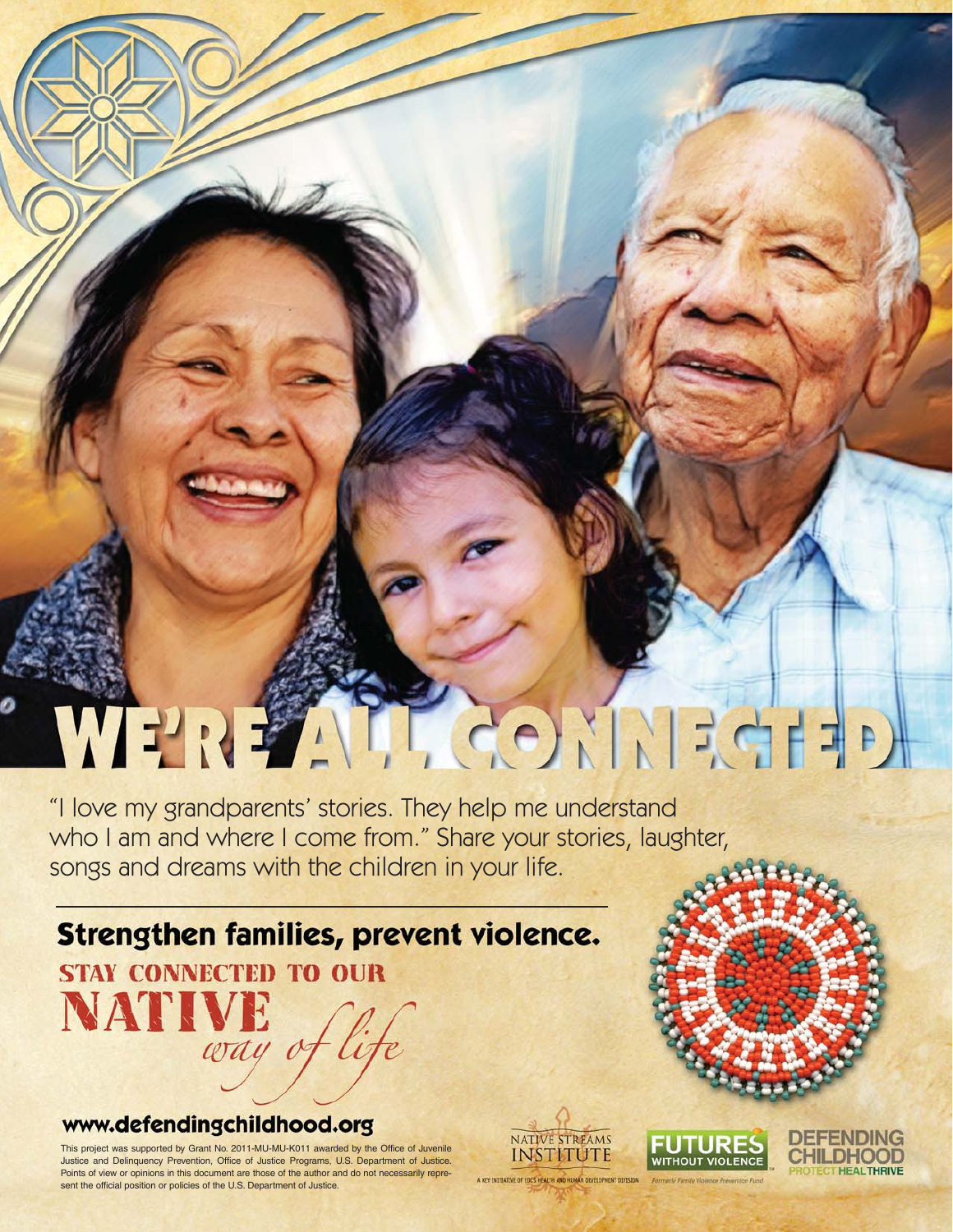## WERENT CONNEGHE

"I love my grandparents' stories. They help me understand who I am and where I come from." Share your stories, laughter, songs and dreams with the children in your life.

### Strengthen families, prevent violence.

**STAY CONNECTED TO OUR** NATIVE

#### www.defendingchildhood.org

This project was supported by Grant No. 2011-MU-MU-K011 awarded by the Office of Juvenile Justice and Delinquency Prevention, Office of Justice Programs, U.S. Department of Justice. Points of view or opinions in this document are those of the author and do not necessarily represent the official position or policies of the U.S. Department of Justice.

way of lif

NATIVE STREAMS **INSTITUTE** 

A KEY INTITATIVE OF EDCS HEALTH AND HI

**WITHOUT VIOLENCE** 

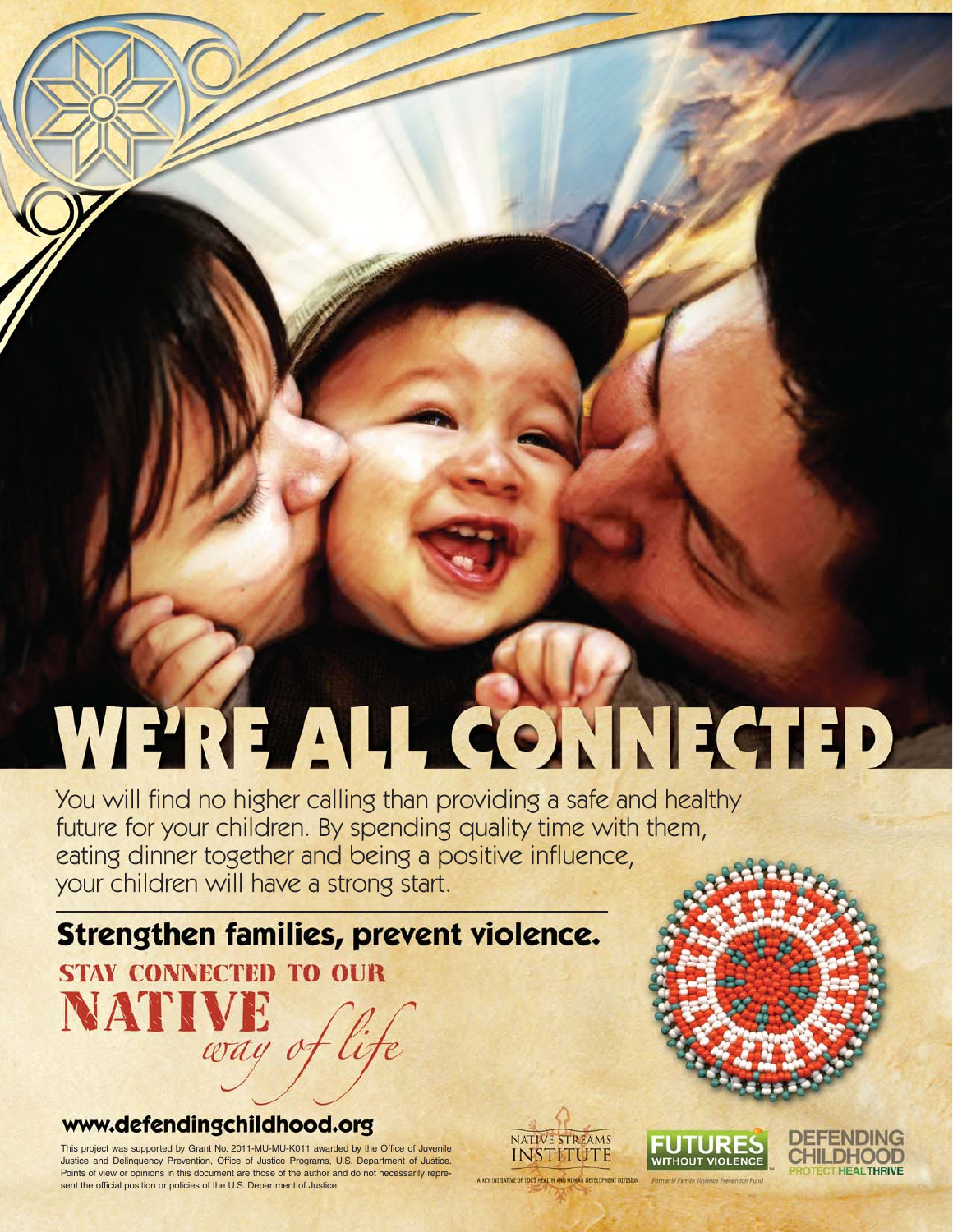# WERE ALL CONNECTED

You will find no higher calling than providing a safe and healthy future for your children. By spending quality time with them, eating dinner together and being a positive influence, your children will have a strong start.

Strengthen families, prevent violence.

**STAY CONNECTED TO OUR** NATIVE

#### www.defendingchildhood.org

This project was supported by Grant No. 2011-MU-MU-K011 awarded by the Office of Juvenile Justice and Delinquency Prevention, Office of Justice Programs, U.S. Department of Justice. Points of view or opinions in this document are those of the author and do not necessarily represent the official position or policies of the U.S. Department of Justice.

way of

NATIVE STREAMS **INSTITUTE** A KEY INTITATIVE OF EDCS HEALTH AND HUMAN DEVELO

**FUTUR** WITHOUT VIOLENCE